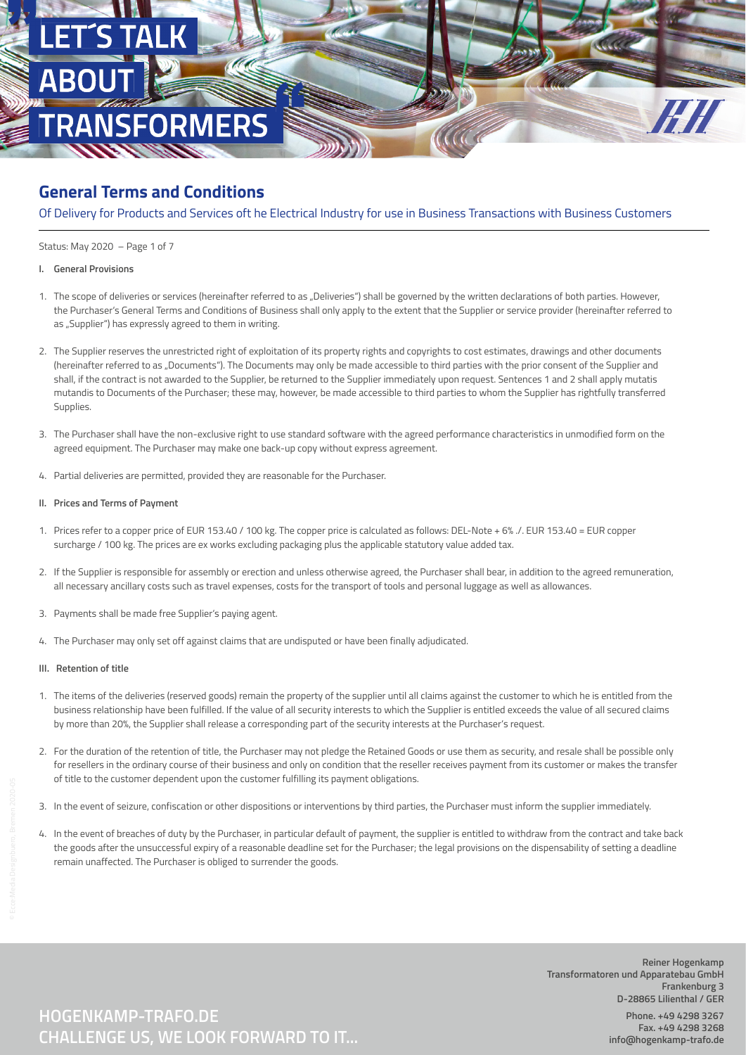

Of Delivery for Products and Services oft he Electrical Industry for use in Business Transactions with Business Customers

Status: May 2020 – Page 1 of 7

- **I. General Provisions**
- 1. The scope of deliveries or services (hereinafter referred to as "Deliveries") shall be governed by the written declarations of both parties. However, the Purchaser's General Terms and Conditions of Business shall only apply to the extent that the Supplier or service provider (hereinafter referred to as "Supplier") has expressly agreed to them in writing.
- 2. The Supplier reserves the unrestricted right of exploitation of its property rights and copyrights to cost estimates, drawings and other documents (hereinafter referred to as "Documents"). The Documents may only be made accessible to third parties with the prior consent of the Supplier and shall, if the contract is not awarded to the Supplier, be returned to the Supplier immediately upon request. Sentences 1 and 2 shall apply mutatis mutandis to Documents of the Purchaser; these may, however, be made accessible to third parties to whom the Supplier has rightfully transferred Supplies.
- 3. The Purchaser shall have the non-exclusive right to use standard software with the agreed performance characteristics in unmodified form on the agreed equipment. The Purchaser may make one back-up copy without express agreement.
- 4. Partial deliveries are permitted, provided they are reasonable for the Purchaser.
- **II. Prices and Terms of Payment**
- 1. Prices refer to a copper price of EUR 153.40 / 100 kg. The copper price is calculated as follows: DEL-Note + 6% ./. EUR 153.40 = EUR copper surcharge / 100 kg. The prices are ex works excluding packaging plus the applicable statutory value added tax.
- 2. If the Supplier is responsible for assembly or erection and unless otherwise agreed, the Purchaser shall bear, in addition to the agreed remuneration, all necessary ancillary costs such as travel expenses, costs for the transport of tools and personal luggage as well as allowances.
- 3. Payments shall be made free Supplier's paying agent.
- 4. The Purchaser may only set off against claims that are undisputed or have been finally adjudicated.

### **III. Retention of title**

- 1. The items of the deliveries (reserved goods) remain the property of the supplier until all claims against the customer to which he is entitled from the business relationship have been fulfilled. If the value of all security interests to which the Supplier is entitled exceeds the value of all secured claims by more than 20%, the Supplier shall release a corresponding part of the security interests at the Purchaser's request.
- 2. For the duration of the retention of title, the Purchaser may not pledge the Retained Goods or use them as security, and resale shall be possible only for resellers in the ordinary course of their business and only on condition that the reseller receives payment from its customer or makes the transfer of title to the customer dependent upon the customer fulfilling its payment obligations.
- 3. In the event of seizure, confiscation or other dispositions or interventions by third parties, the Purchaser must inform the supplier immediately.
- 4. In the event of breaches of duty by the Purchaser, in particular default of payment, the supplier is entitled to withdraw from the contract and take back the goods after the unsuccessful expiry of a reasonable deadline set for the Purchaser; the legal provisions on the dispensability of setting a deadline remain unaffected. The Purchaser is obliged to surrender the goods.

**Reiner Hogenkamp Transformatoren und Apparatebau GmbH Frankenburg 3 D-28865 Lilienthal / GER Phone. +49 4298 3267 Fax. +49 4298 3268 info@hogenkamp-trafo.de**

# **CHALLENGE US, WE LOOK FORWARD TO IT... HOGENKAMP-TRAFO.DE**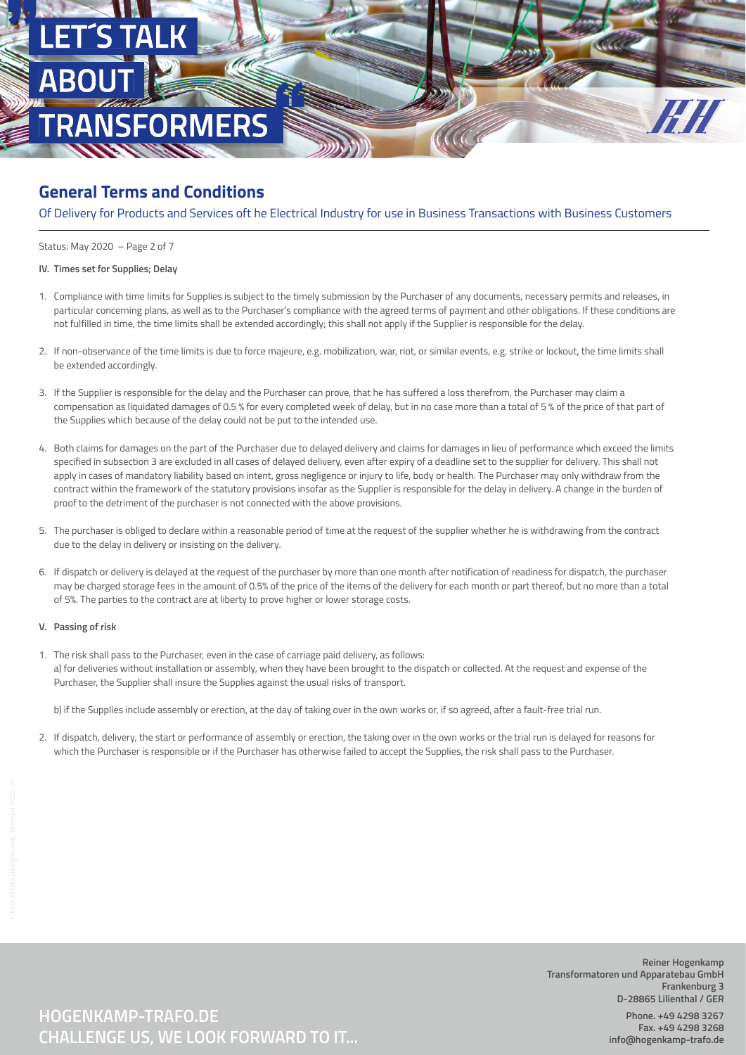

Of Delivery for Products and Services oft he Electrical Industry for use in Business Transactions with Business Customers

Status: May 2020 – Page 2 of 7

#### **IV. Times set for Supplies; Delay**

- 1. Compliance with time limits for Supplies is subject to the timely submission by the Purchaser of any documents, necessary permits and releases, in particular concerning plans, as well as to the Purchaser's compliance with the agreed terms of payment and other obligations. If these conditions are not fulfilled in time, the time limits shall be extended accordingly; this shall not apply if the Supplier is responsible for the delay.
- 2. If non-observance of the time limits is due to force majeure, e.g. mobilization, war, riot, or similar events, e.g. strike or lockout, the time limits shall be extended accordingly.
- 3. If the Supplier is responsible for the delay and the Purchaser can prove, that he has suffered a loss therefrom, the Purchaser may claim a compensation as liquidated damages of 0.5 % for every completed week of delay, but in no case more than a total of 5 % of the price of that part of the Supplies which because of the delay could not be put to the intended use.
- 4. Both claims for damages on the part of the Purchaser due to delayed delivery and claims for damages in lieu of performance which exceed the limits specified in subsection 3 are excluded in all cases of delayed delivery, even after expiry of a deadline set to the supplier for delivery. This shall not apply in cases of mandatory liability based on intent, gross negligence or injury to life, body or health. The Purchaser may only withdraw from the contract within the framework of the statutory provisions insofar as the Supplier is responsible for the delay in delivery. A change in the burden of proof to the detriment of the purchaser is not connected with the above provisions.
- 5. The purchaser is obliged to declare within a reasonable period of time at the request of the supplier whether he is withdrawing from the contract due to the delay in delivery or insisting on the delivery.
- 6. If dispatch or delivery is delayed at the request of the purchaser by more than one month after notification of readiness for dispatch, the purchaser may be charged storage fees in the amount of 0.5% of the price of the items of the delivery for each month or part thereof, but no more than a total of 5%. The parties to the contract are at liberty to prove higher or lower storage costs.

### **V. Passing of risk**

1. The risk shall pass to the Purchaser, even in the case of carriage paid delivery, as follows: a) for deliveries without installation or assembly, when they have been brought to the dispatch or collected. At the request and expense of the Purchaser, the Supplier shall insure the Supplies against the usual risks of transport.

b) if the Supplies include assembly or erection, at the day of taking over in the own works or, if so agreed, after a fault-free trial run.

2. If dispatch, delivery, the start or performance of assembly or erection, the taking over in the own works or the trial run is delayed for reasons for which the Purchaser is responsible or if the Purchaser has otherwise failed to accept the Supplies, the risk shall pass to the Purchaser.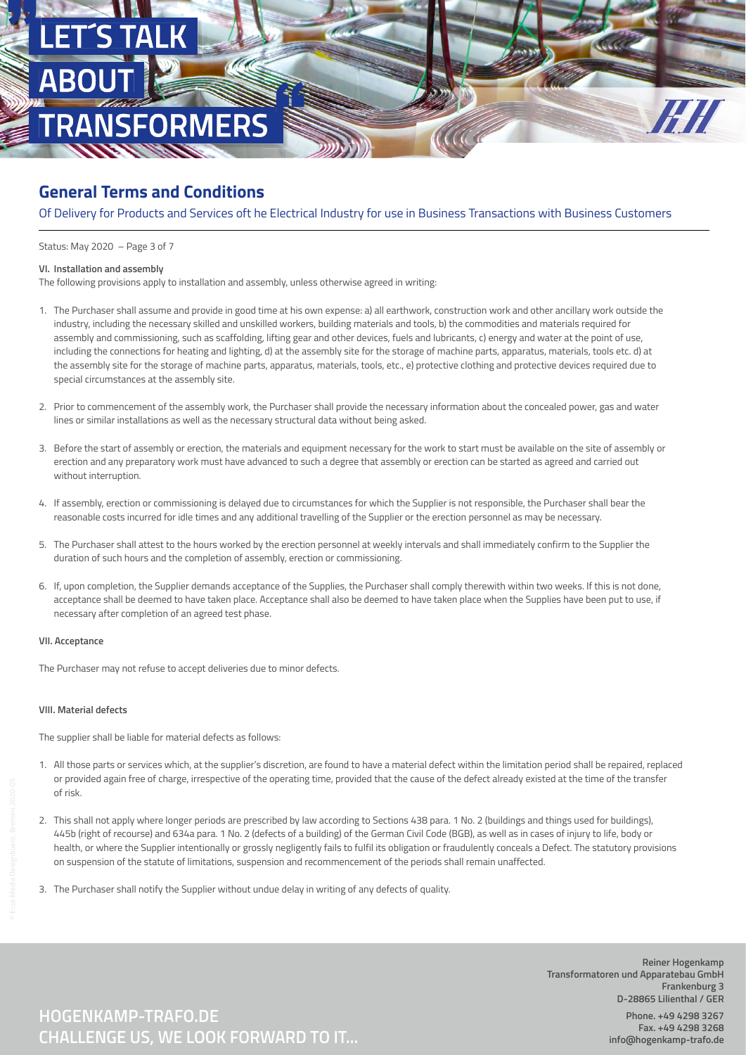

Of Delivery for Products and Services oft he Electrical Industry for use in Business Transactions with Business Customers

Status: May 2020 – Page 3 of 7

#### **VI. Installation and assembly**

The following provisions apply to installation and assembly, unless otherwise agreed in writing:

- 1. The Purchaser shall assume and provide in good time at his own expense: a) all earthwork, construction work and other ancillary work outside the industry, including the necessary skilled and unskilled workers, building materials and tools, b) the commodities and materials required for assembly and commissioning, such as scaffolding, lifting gear and other devices, fuels and lubricants, c) energy and water at the point of use, including the connections for heating and lighting, d) at the assembly site for the storage of machine parts, apparatus, materials, tools etc. d) at the assembly site for the storage of machine parts, apparatus, materials, tools, etc., e) protective clothing and protective devices required due to special circumstances at the assembly site.
- 2. Prior to commencement of the assembly work, the Purchaser shall provide the necessary information about the concealed power, gas and water lines or similar installations as well as the necessary structural data without being asked.
- 3. Before the start of assembly or erection, the materials and equipment necessary for the work to start must be available on the site of assembly or erection and any preparatory work must have advanced to such a degree that assembly or erection can be started as agreed and carried out without interruption.
- 4. If assembly, erection or commissioning is delayed due to circumstances for which the Supplier is not responsible, the Purchaser shall bear the reasonable costs incurred for idle times and any additional travelling of the Supplier or the erection personnel as may be necessary.
- 5. The Purchaser shall attest to the hours worked by the erection personnel at weekly intervals and shall immediately confirm to the Supplier the duration of such hours and the completion of assembly, erection or commissioning.
- 6. If, upon completion, the Supplier demands acceptance of the Supplies, the Purchaser shall comply therewith within two weeks. If this is not done, acceptance shall be deemed to have taken place. Acceptance shall also be deemed to have taken place when the Supplies have been put to use, if necessary after completion of an agreed test phase.

### **VII. Acceptance**

The Purchaser may not refuse to accept deliveries due to minor defects.

#### **VIII. Material defects**

The supplier shall be liable for material defects as follows:

- 1. All those parts or services which, at the supplier's discretion, are found to have a material defect within the limitation period shall be repaired, replaced or provided again free of charge, irrespective of the operating time, provided that the cause of the defect already existed at the time of the transfer of risk.
- 2. This shall not apply where longer periods are prescribed by law according to Sections 438 para. 1 No. 2 (buildings and things used for buildings), 445b (right of recourse) and 634a para. 1 No. 2 (defects of a building) of the German Civil Code (BGB), as well as in cases of injury to life, body or health, or where the Supplier intentionally or grossly negligently fails to fulfil its obligation or fraudulently conceals a Defect. The statutory provisions on suspension of the statute of limitations, suspension and recommencement of the periods shall remain unaffected.
- 3. The Purchaser shall notify the Supplier without undue delay in writing of any defects of quality.

**Reiner Hogenkamp Transformatoren und Apparatebau GmbH Frankenburg 3 D-28865 Lilienthal / GER Phone. +49 4298 3267 Fax. +49 4298 3268 info@hogenkamp-trafo.de**

**CHALLENGE US, WE LOOK FORWARD TO IT... HOGENKAMP-TRAFO.DE**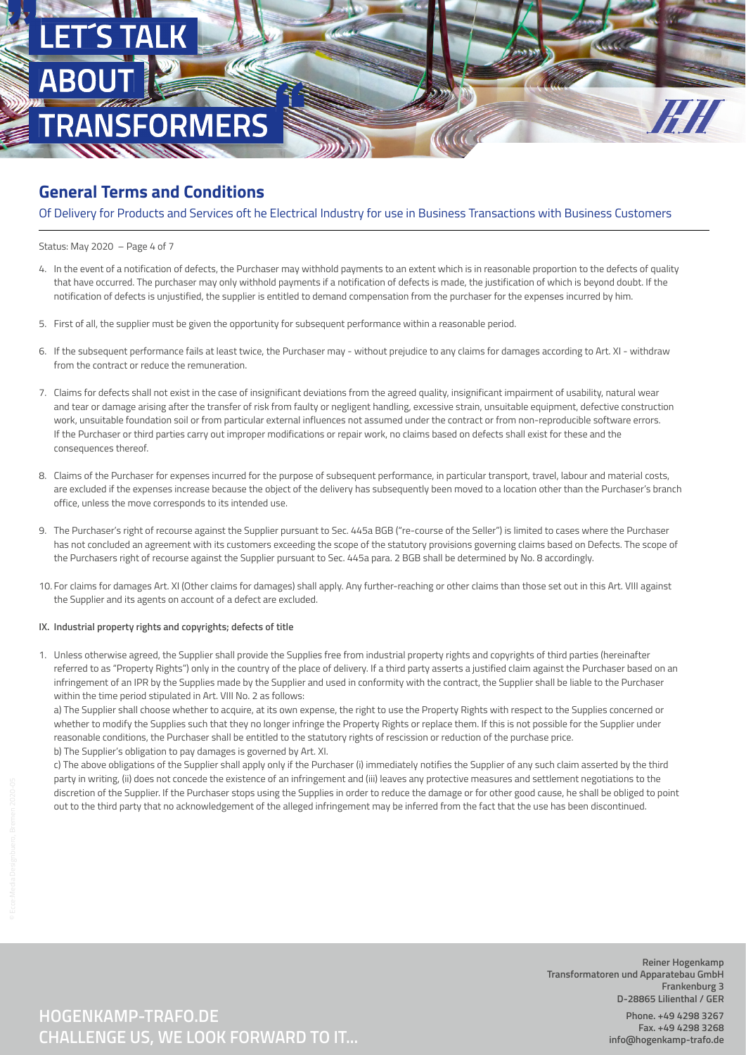

Of Delivery for Products and Services oft he Electrical Industry for use in Business Transactions with Business Customers

Status: May 2020 – Page 4 of 7

- 4. In the event of a notification of defects, the Purchaser may withhold payments to an extent which is in reasonable proportion to the defects of quality that have occurred. The purchaser may only withhold payments if a notification of defects is made, the justification of which is beyond doubt. If the notification of defects is unjustified, the supplier is entitled to demand compensation from the purchaser for the expenses incurred by him.
- 5. First of all, the supplier must be given the opportunity for subsequent performance within a reasonable period.
- 6. If the subsequent performance fails at least twice, the Purchaser may without prejudice to any claims for damages according to Art. XI withdraw from the contract or reduce the remuneration.
- 7. Claims for defects shall not exist in the case of insignificant deviations from the agreed quality, insignificant impairment of usability, natural wear and tear or damage arising after the transfer of risk from faulty or negligent handling, excessive strain, unsuitable equipment, defective construction work, unsuitable foundation soil or from particular external influences not assumed under the contract or from non-reproducible software errors. If the Purchaser or third parties carry out improper modifications or repair work, no claims based on defects shall exist for these and the consequences thereof.
- 8. Claims of the Purchaser for expenses incurred for the purpose of subsequent performance, in particular transport, travel, labour and material costs, are excluded if the expenses increase because the object of the delivery has subsequently been moved to a location other than the Purchaser's branch office, unless the move corresponds to its intended use.
- 9. The Purchaser's right of recourse against the Supplier pursuant to Sec. 445a BGB ("re-course of the Seller") is limited to cases where the Purchaser has not concluded an agreement with its customers exceeding the scope of the statutory provisions governing claims based on Defects. The scope of the Purchasers right of recourse against the Supplier pursuant to Sec. 445a para. 2 BGB shall be determined by No. 8 accordingly.
- 10. For claims for damages Art. XI (Other claims for damages) shall apply. Any further-reaching or other claims than those set out in this Art. VIII against the Supplier and its agents on account of a defect are excluded.

#### **IX. Industrial property rights and copyrights; defects of title**

1. Unless otherwise agreed, the Supplier shall provide the Supplies free from industrial property rights and copyrights of third parties (hereinafter referred to as "Property Rights") only in the country of the place of delivery. If a third party asserts a justified claim against the Purchaser based on an infringement of an IPR by the Supplies made by the Supplier and used in conformity with the contract, the Supplier shall be liable to the Purchaser within the time period stipulated in Art. VIII No. 2 as follows:

 a) The Supplier shall choose whether to acquire, at its own expense, the right to use the Property Rights with respect to the Supplies concerned or whether to modify the Supplies such that they no longer infringe the Property Rights or replace them. If this is not possible for the Supplier under reasonable conditions, the Purchaser shall be entitled to the statutory rights of rescission or reduction of the purchase price. b) The Supplier's obligation to pay damages is governed by Art. XI.

 c) The above obligations of the Supplier shall apply only if the Purchaser (i) immediately notifies the Supplier of any such claim asserted by the third party in writing, (ii) does not concede the existence of an infringement and (iii) leaves any protective measures and settlement negotiations to the

 discretion of the Supplier. If the Purchaser stops using the Supplies in order to reduce the damage or for other good cause, he shall be obliged to point out to the third party that no acknowledgement of the alleged infringement may be inferred from the fact that the use has been discontinued.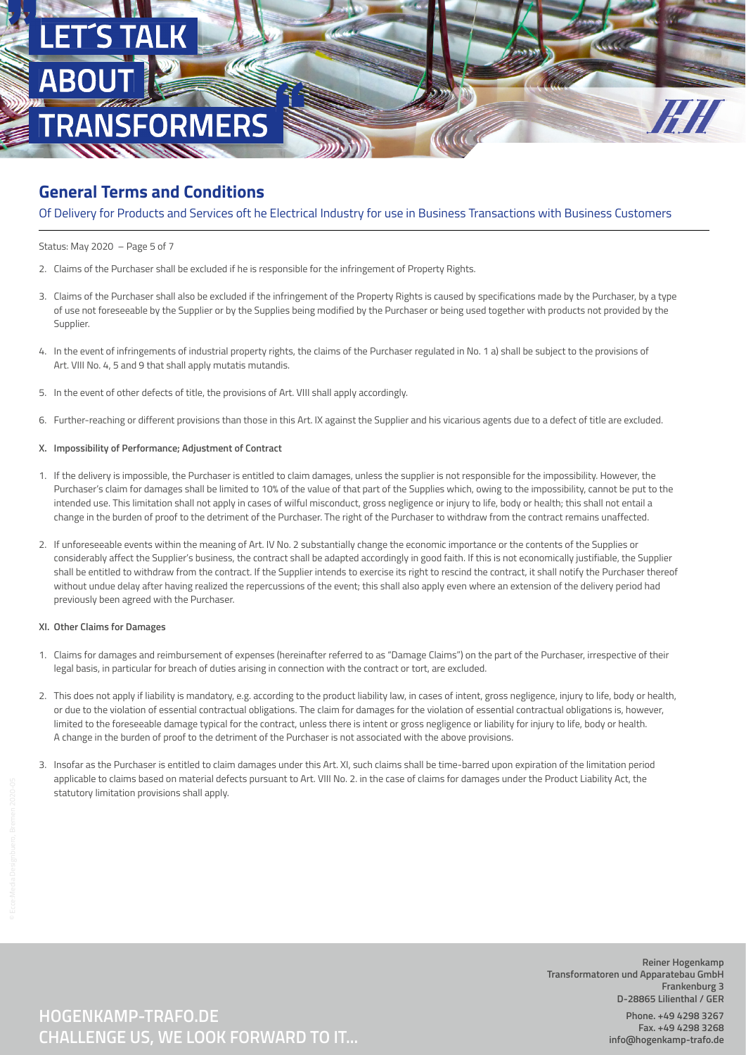

Of Delivery for Products and Services oft he Electrical Industry for use in Business Transactions with Business Customers

Status: May 2020 – Page 5 of 7

- 2. Claims of the Purchaser shall be excluded if he is responsible for the infringement of Property Rights.
- 3. Claims of the Purchaser shall also be excluded if the infringement of the Property Rights is caused by specifications made by the Purchaser, by a type of use not foreseeable by the Supplier or by the Supplies being modified by the Purchaser or being used together with products not provided by the Supplier.
- 4. In the event of infringements of industrial property rights, the claims of the Purchaser regulated in No. 1 a) shall be subject to the provisions of Art. VIII No. 4, 5 and 9 that shall apply mutatis mutandis.
- 5. In the event of other defects of title, the provisions of Art. VIII shall apply accordingly.
- 6. Further-reaching or different provisions than those in this Art. IX against the Supplier and his vicarious agents due to a defect of title are excluded.

### **X. Impossibility of Performance; Adjustment of Contract**

- 1. If the delivery is impossible, the Purchaser is entitled to claim damages, unless the supplier is not responsible for the impossibility. However, the Purchaser's claim for damages shall be limited to 10% of the value of that part of the Supplies which, owing to the impossibility, cannot be put to the intended use. This limitation shall not apply in cases of wilful misconduct, gross negligence or injury to life, body or health; this shall not entail a change in the burden of proof to the detriment of the Purchaser. The right of the Purchaser to withdraw from the contract remains unaffected.
- 2. If unforeseeable events within the meaning of Art. IV No. 2 substantially change the economic importance or the contents of the Supplies or considerably affect the Supplier's business, the contract shall be adapted accordingly in good faith. If this is not economically justifiable, the Supplier shall be entitled to withdraw from the contract. If the Supplier intends to exercise its right to rescind the contract, it shall notify the Purchaser thereof without undue delay after having realized the repercussions of the event; this shall also apply even where an extension of the delivery period had previously been agreed with the Purchaser.

#### **XI. Other Claims for Damages**

- 1. Claims for damages and reimbursement of expenses (hereinafter referred to as "Damage Claims") on the part of the Purchaser, irrespective of their legal basis, in particular for breach of duties arising in connection with the contract or tort, are excluded.
- 2. This does not apply if liability is mandatory, e.g. according to the product liability law, in cases of intent, gross negligence, injury to life, body or health, or due to the violation of essential contractual obligations. The claim for damages for the violation of essential contractual obligations is, however, limited to the foreseeable damage typical for the contract, unless there is intent or gross negligence or liability for injury to life, body or health. A change in the burden of proof to the detriment of the Purchaser is not associated with the above provisions.
- 3. Insofar as the Purchaser is entitled to claim damages under this Art. XI, such claims shall be time-barred upon expiration of the limitation period applicable to claims based on material defects pursuant to Art. VIII No. 2. in the case of claims for damages under the Product Liability Act, the statutory limitation provisions shall apply.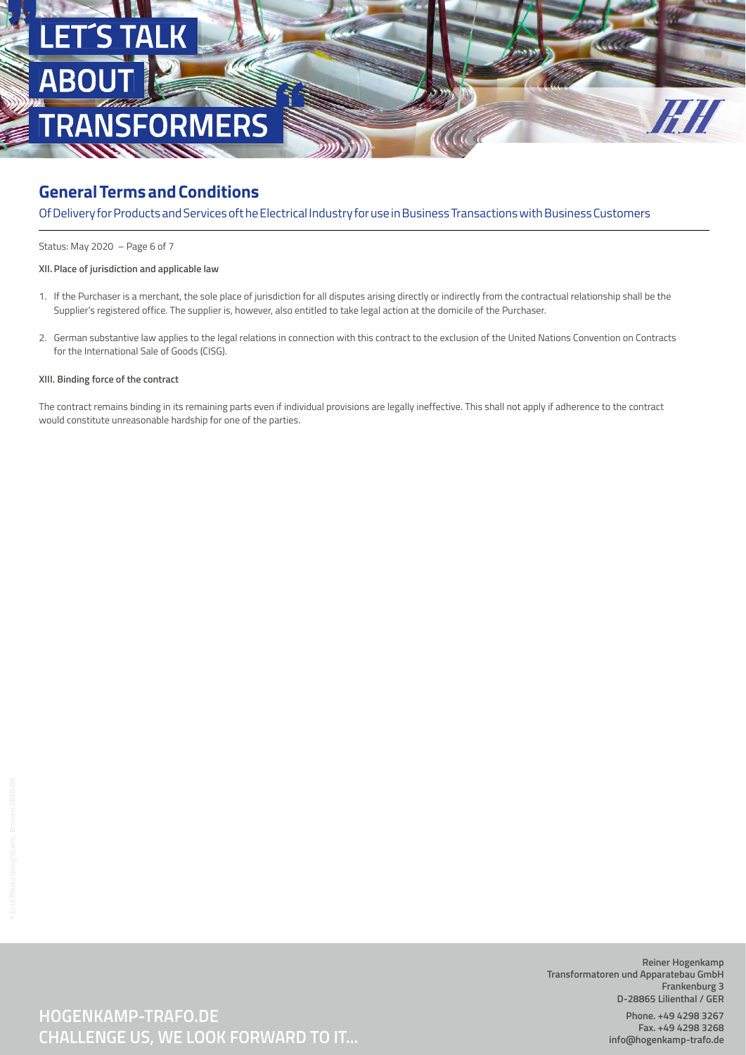

Of Delivery for Products and Services oft he Electrical Industry for use in Business Transactions with Business Customers

Status: May 2020 – Page 6 of 7

### **XII. Place of jurisdiction and applicable law**

- 1. If the Purchaser is a merchant, the sole place of jurisdiction for all disputes arising directly or indirectly from the contractual relationship shall be the Supplier's registered office. The supplier is, however, also entitled to take legal action at the domicile of the Purchaser.
- 2. German substantive law applies to the legal relations in connection with this contract to the exclusion of the United Nations Convention on Contracts for the International Sale of Goods (CISG).

#### **XIII. Binding force of the contract**

The contract remains binding in its remaining parts even if individual provisions are legally ineffective. This shall not apply if adherence to the contract would constitute unreasonable hardship for one of the parties.

**CHALLENGE US, WE LOOK FORWARD TO IT... HOGENKAMP-TRAFO.DE**